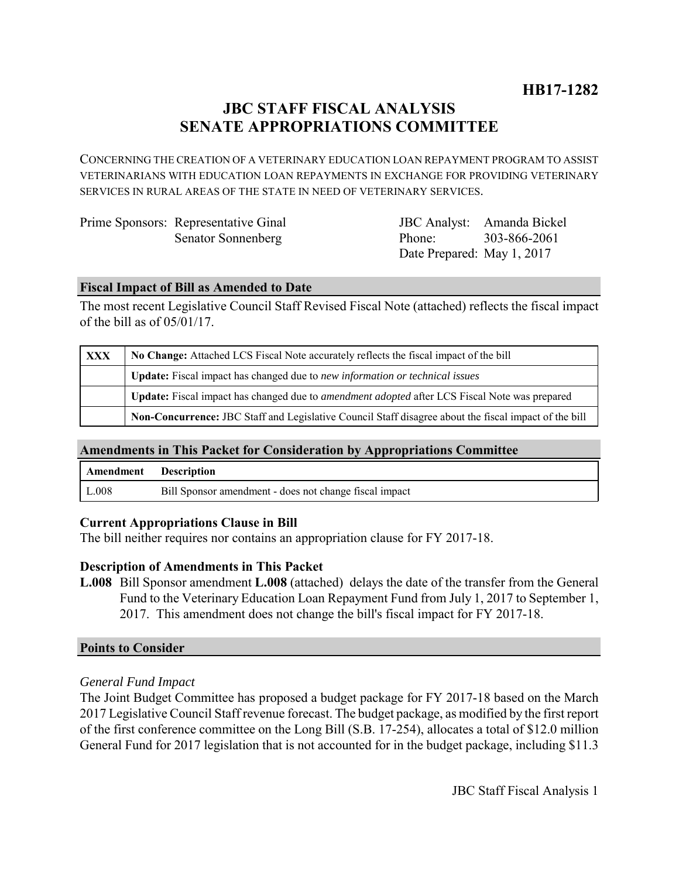# **JBC STAFF FISCAL ANALYSIS SENATE APPROPRIATIONS COMMITTEE**

CONCERNING THE CREATION OF A VETERINARY EDUCATION LOAN REPAYMENT PROGRAM TO ASSIST VETERINARIANS WITH EDUCATION LOAN REPAYMENTS IN EXCHANGE FOR PROVIDING VETERINARY SERVICES IN RURAL AREAS OF THE STATE IN NEED OF VETERINARY SERVICES.

| Prime Sponsors: Representative Ginal |
|--------------------------------------|
| <b>Senator Sonnenberg</b>            |

JBC Analyst: Amanda Bickel Phone: Date Prepared: May 1, 2017 303-866-2061

## **Fiscal Impact of Bill as Amended to Date**

The most recent Legislative Council Staff Revised Fiscal Note (attached) reflects the fiscal impact of the bill as of 05/01/17.

| <b>XXX</b> | No Change: Attached LCS Fiscal Note accurately reflects the fiscal impact of the bill                 |  |
|------------|-------------------------------------------------------------------------------------------------------|--|
|            | <b>Update:</b> Fiscal impact has changed due to new information or technical issues                   |  |
|            | Update: Fiscal impact has changed due to <i>amendment adopted</i> after LCS Fiscal Note was prepared  |  |
|            | Non-Concurrence: JBC Staff and Legislative Council Staff disagree about the fiscal impact of the bill |  |

### **Amendments in This Packet for Consideration by Appropriations Committee**

| Amendment Description |                                                        |
|-----------------------|--------------------------------------------------------|
| L.008                 | Bill Sponsor amendment - does not change fiscal impact |

### **Current Appropriations Clause in Bill**

The bill neither requires nor contains an appropriation clause for FY 2017-18.

# **Description of Amendments in This Packet**

**L.008** Bill Sponsor amendment **L.008** (attached) delays the date of the transfer from the General Fund to the Veterinary Education Loan Repayment Fund from July 1, 2017 to September 1, 2017. This amendment does not change the bill's fiscal impact for FY 2017-18.

### **Points to Consider**

# *General Fund Impact*

The Joint Budget Committee has proposed a budget package for FY 2017-18 based on the March 2017 Legislative Council Staff revenue forecast. The budget package, as modified by the first report of the first conference committee on the Long Bill (S.B. 17-254), allocates a total of \$12.0 million General Fund for 2017 legislation that is not accounted for in the budget package, including \$11.3